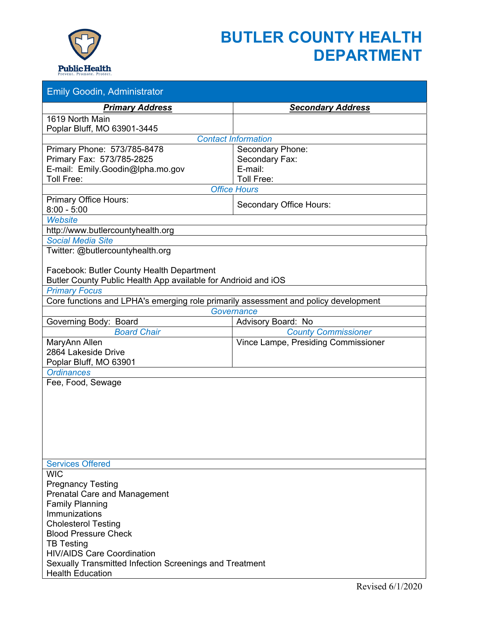

## **BUTLER COUNTY HEALTH DEPARTMENT**

| <b>Emily Goodin, Administrator</b>                                                                                                                                                                                                                                                                                                                                                                                                                                                                                                                                                             |                                |  |  |  |
|------------------------------------------------------------------------------------------------------------------------------------------------------------------------------------------------------------------------------------------------------------------------------------------------------------------------------------------------------------------------------------------------------------------------------------------------------------------------------------------------------------------------------------------------------------------------------------------------|--------------------------------|--|--|--|
| <b>Primary Address</b>                                                                                                                                                                                                                                                                                                                                                                                                                                                                                                                                                                         | <b>Secondary Address</b>       |  |  |  |
| 1619 North Main<br>Poplar Bluff, MO 63901-3445                                                                                                                                                                                                                                                                                                                                                                                                                                                                                                                                                 |                                |  |  |  |
| <b>Contact Information</b>                                                                                                                                                                                                                                                                                                                                                                                                                                                                                                                                                                     |                                |  |  |  |
| Primary Phone: 573/785-8478                                                                                                                                                                                                                                                                                                                                                                                                                                                                                                                                                                    | Secondary Phone:               |  |  |  |
| Primary Fax: 573/785-2825                                                                                                                                                                                                                                                                                                                                                                                                                                                                                                                                                                      | Secondary Fax:                 |  |  |  |
| E-mail: Emily.Goodin@lpha.mo.gov                                                                                                                                                                                                                                                                                                                                                                                                                                                                                                                                                               | E-mail:                        |  |  |  |
| Toll Free:                                                                                                                                                                                                                                                                                                                                                                                                                                                                                                                                                                                     | Toll Free:                     |  |  |  |
| <b>Office Hours</b>                                                                                                                                                                                                                                                                                                                                                                                                                                                                                                                                                                            |                                |  |  |  |
| <b>Primary Office Hours:</b>                                                                                                                                                                                                                                                                                                                                                                                                                                                                                                                                                                   | <b>Secondary Office Hours:</b> |  |  |  |
| $8:00 - 5:00$                                                                                                                                                                                                                                                                                                                                                                                                                                                                                                                                                                                  |                                |  |  |  |
| <b>Website</b>                                                                                                                                                                                                                                                                                                                                                                                                                                                                                                                                                                                 |                                |  |  |  |
| http://www.butlercountyhealth.org                                                                                                                                                                                                                                                                                                                                                                                                                                                                                                                                                              |                                |  |  |  |
| <b>Social Media Site</b><br>Twitter: @butlercountyhealth.org                                                                                                                                                                                                                                                                                                                                                                                                                                                                                                                                   |                                |  |  |  |
|                                                                                                                                                                                                                                                                                                                                                                                                                                                                                                                                                                                                |                                |  |  |  |
| Facebook: Butler County Health Department                                                                                                                                                                                                                                                                                                                                                                                                                                                                                                                                                      |                                |  |  |  |
| Butler County Public Health App available for Andrioid and iOS                                                                                                                                                                                                                                                                                                                                                                                                                                                                                                                                 |                                |  |  |  |
| <b>Primary Focus</b>                                                                                                                                                                                                                                                                                                                                                                                                                                                                                                                                                                           |                                |  |  |  |
|                                                                                                                                                                                                                                                                                                                                                                                                                                                                                                                                                                                                |                                |  |  |  |
|                                                                                                                                                                                                                                                                                                                                                                                                                                                                                                                                                                                                |                                |  |  |  |
| Governing Body: Board                                                                                                                                                                                                                                                                                                                                                                                                                                                                                                                                                                          |                                |  |  |  |
|                                                                                                                                                                                                                                                                                                                                                                                                                                                                                                                                                                                                |                                |  |  |  |
|                                                                                                                                                                                                                                                                                                                                                                                                                                                                                                                                                                                                |                                |  |  |  |
|                                                                                                                                                                                                                                                                                                                                                                                                                                                                                                                                                                                                |                                |  |  |  |
|                                                                                                                                                                                                                                                                                                                                                                                                                                                                                                                                                                                                |                                |  |  |  |
|                                                                                                                                                                                                                                                                                                                                                                                                                                                                                                                                                                                                |                                |  |  |  |
|                                                                                                                                                                                                                                                                                                                                                                                                                                                                                                                                                                                                |                                |  |  |  |
|                                                                                                                                                                                                                                                                                                                                                                                                                                                                                                                                                                                                |                                |  |  |  |
|                                                                                                                                                                                                                                                                                                                                                                                                                                                                                                                                                                                                |                                |  |  |  |
|                                                                                                                                                                                                                                                                                                                                                                                                                                                                                                                                                                                                |                                |  |  |  |
|                                                                                                                                                                                                                                                                                                                                                                                                                                                                                                                                                                                                |                                |  |  |  |
|                                                                                                                                                                                                                                                                                                                                                                                                                                                                                                                                                                                                |                                |  |  |  |
|                                                                                                                                                                                                                                                                                                                                                                                                                                                                                                                                                                                                |                                |  |  |  |
|                                                                                                                                                                                                                                                                                                                                                                                                                                                                                                                                                                                                |                                |  |  |  |
| <b>WIC</b>                                                                                                                                                                                                                                                                                                                                                                                                                                                                                                                                                                                     |                                |  |  |  |
|                                                                                                                                                                                                                                                                                                                                                                                                                                                                                                                                                                                                |                                |  |  |  |
|                                                                                                                                                                                                                                                                                                                                                                                                                                                                                                                                                                                                |                                |  |  |  |
|                                                                                                                                                                                                                                                                                                                                                                                                                                                                                                                                                                                                |                                |  |  |  |
|                                                                                                                                                                                                                                                                                                                                                                                                                                                                                                                                                                                                |                                |  |  |  |
|                                                                                                                                                                                                                                                                                                                                                                                                                                                                                                                                                                                                |                                |  |  |  |
|                                                                                                                                                                                                                                                                                                                                                                                                                                                                                                                                                                                                |                                |  |  |  |
|                                                                                                                                                                                                                                                                                                                                                                                                                                                                                                                                                                                                |                                |  |  |  |
| Sexually Transmitted Infection Screenings and Treatment                                                                                                                                                                                                                                                                                                                                                                                                                                                                                                                                        |                                |  |  |  |
| <b>Health Education</b>                                                                                                                                                                                                                                                                                                                                                                                                                                                                                                                                                                        |                                |  |  |  |
| Core functions and LPHA's emerging role primarily assessment and policy development<br>Governance<br>Advisory Board: No<br><b>Board Chair</b><br><b>County Commissioner</b><br>MaryAnn Allen<br>Vince Lampe, Presiding Commissioner<br>2864 Lakeside Drive<br>Poplar Bluff, MO 63901<br><b>Ordinances</b><br>Fee, Food, Sewage<br><b>Services Offered</b><br><b>Pregnancy Testing</b><br><b>Prenatal Care and Management</b><br><b>Family Planning</b><br>Immunizations<br><b>Cholesterol Testing</b><br><b>Blood Pressure Check</b><br><b>TB Testing</b><br><b>HIV/AIDS Care Coordination</b> |                                |  |  |  |